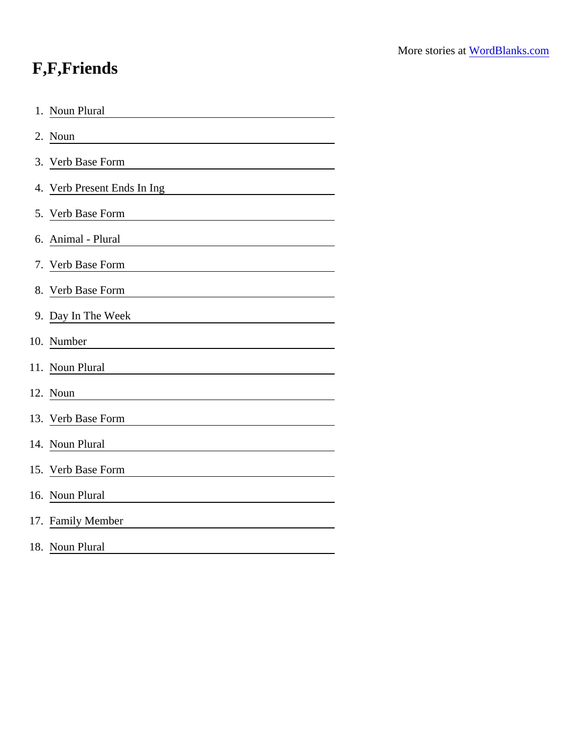## F,F,Friends

| <b>Noun Plural</b><br>1.    |
|-----------------------------|
| 2. Noun                     |
| 3. Verb Base Form           |
| 4. Verb Present Ends In Ing |
| 5. Verb Base Form           |
| 6. Animal - Plural          |
| 7. Verb Base Form           |
| 8. Verb Base Form           |
| 9. Day In The Week          |
| 10. Number                  |
| 11. Noun Plural             |
| 12. Noun                    |
| 13. Verb Base Form          |
| 14. Noun Plural             |
| 15. Verb Base Form          |
| 16. Noun Plural             |
| 17. Family Member           |
| 18. Noun Plural             |